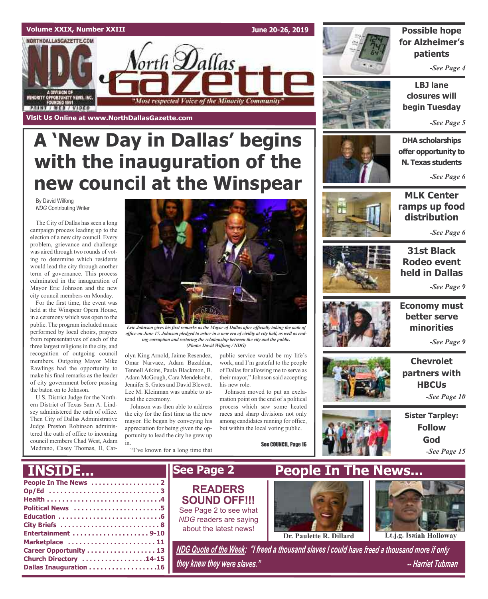### **Volume XXIX, Number XXIII**

NORTHDALLASGAZETTE.COM

**MINORITY CPPORTUNITY NEWS, INC.**<br>FOUNDED 1991

**PRINT / WEB / VIDEO** 

**June 20-26, 2019**



### **Possible hope for Alzheimer's patients**

*-See Page 4*

**LBJ lane closures will begin Tuesday**

*-See Page 5*

**DHA scholarships offer opportunity to N. Texas students**

*-See Page 6*

# **new council at the Winspear**

**Visit Us Online at www.NorthDallasGazette.com**

By David Wilfong *NDG* Contributing Writer

The City of Dallas has seen a long campaign process leading up to the election of a new city council. Every problem, grievance and challenge was aired through two rounds of voting to determine which residents would lead the city through another term of governance. This process culminated in the inauguration of Mayor Eric Johnson and the new city council members on Monday.

For the first time, the event was held at the Winspear Opera House, in a ceremony which was open to the public. The program included music performed by local choirs, prayers from representatives of each of the three largest religions in the city, and recognition of outgoing council members. Outgoing Mayor Mike Rawlings had the opportunity to make his final remarks as the leader of city government before passing the baton on to Johnson.

U.S. District Judge for the Northern District of Texas Sam A. Lindsey administered the oath of office. Then City of Dallas Administrative Judge Preston Robinson administered the oath of office to incoming council members Chad West, Adam Medrano, Casey Thomas, II, Car-



*Eric Johnson gives his first remarks as the Mayor of Dallas after officially taking the oath of* office on June 17. Johnson pledged to usher in a new era of civility at city hall, as well as end*ing corruption and restoring the relationship between the city and the public. (Photo: David Wilfong / NDG)*

olyn King Arnold, Jaime Resendez, Omar Narvaez, Adam Bazaldua, Tennell Atkins, Paula Blackmon, B. Adam McGough, Cara Mendelsohn, Jennifer S. Gates and David Blewett. Lee M. Kleinman was unable to attend the ceremony.

**A 'New Day in Dallas' begins**

orth **D**allas

"Most respected Voice of the Minority Community"

**with the inauguration of the**

Johnson was then able to address the city for the first time as the new mayor. He began by conveying his appreciation for being given the opportunity to lead the city he grew up in.

"I've known for a long time that

public service would be my life's work, and I'm grateful to the people of Dallas for allowing me to serve as their mayor," Johnson said accepting his new role.

Johnson moved to put an exclamation point on the end of a political process which saw some heated races and sharp divisions not only among candidates running for office, but within the local voting public.

See COUNCIL, Page 16





*-See Page 6*



**31st Black Rodeo event held in Dallas**

*-See Page 9*



**Economy must better serve minorities**

*-See Page 9*

**Chevrolet partners with HBCUs** *-See Page 10*



**Sister Tarpley: Follow God** *-See Page 15*





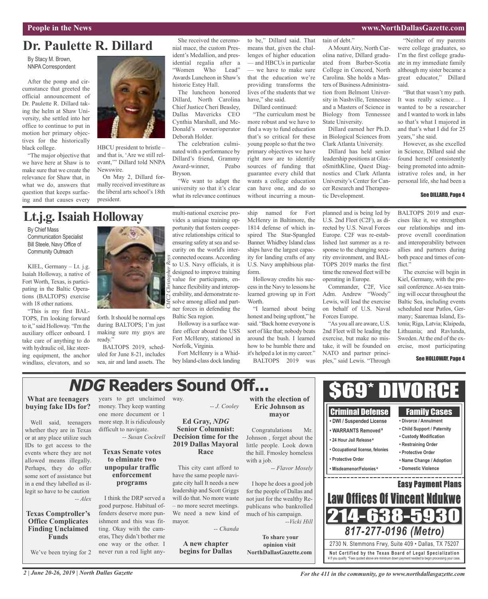### **People in the News www.NorthDallasGazette.com**

# **Dr. Paulette R. Dillard**

By Stacy M. Brown, NNPA Correspondent

After the pomp and circumstance that greeted the official announcement of Dr. Paulette R. Dillard taking the helm at Shaw University, she settled into her office to continue to put in motion her primary objectives for the historically black college.

"The major objective that we have here at Shaw is to make sure that we create the relevance for Shaw that, in what we do, answers that question that keeps surfacing and that causes every



HBCU president to bristle – and that is, 'Are we still relevant,'" Dillard told NNPA Newswire.

On May 2, Dillard formally received investiture as the liberal arts school's 18th president.

She received the ceremonial mace, the custom President's Medallion, and presidential regalia after a "Women Who Lead" Awards Luncheon in Shaw's historic Estey Hall.

The luncheon honored Dillard, North Carolina Chief Justice Cheri Beasley, Dallas Mavericks CEO Cynthia Marshall, and Mc-Donald's owner/operator Deborah Holder.

The celebration culminated with a performance by Dillard's friend, Grammy Award-winner, Peabo Bryson.

"We want to adapt the university so that it's clear what its relevance continues to be," Dillard said. That means that, given the challenges of higher education — and HBCUs in particular — we have to make sure that the education we're providing transforms the lives of the students that we have," she said.

Dillard continued:

"The curriculum most be more robust and we have to find a way to fund education that's so critical for these young people so that the two primary objectives we have right now are to identify sources of funding that guarantee every child that wants a college education can have one, and do so without incurring a moun-

tain of debt."

AMount Airy, North Carolina native, Dillard graduated from Barber-Scotia College in Concord, North Carolina. She holds a Masters of Business Administration from Belmont University in Nashville, Tennessee and a Masters of Science in Biology from Tennessee State University.

Dillard earned her Ph.D. in Biological Sciences from Clark Atlanta University.

Dillard has held senior leadership positions at GlaxoSmithKline, Quest Diagnostics and Clark Atlanta University's Center for Cancer Research and Therapeutic Development.

"Neither of my parents were college graduates, so I'm the first college graduate in my immediate family although my sister became a great educator," Dillard said.

"But that wasn't my path. It was really science… I wanted to be a researcher and I wanted to work in labs so that's what I majored in and that's what I did for 25 years," she said.

However, as she excelled in Science, Dillard said she found herself consistently being promoted into administrative roles and, in her personal life, she had been a

### See DILLARD, Page 4

# **Lt.j.g.Isaiah Holloway**

By Chief Mass Communication Specialist Bill Steele, Navy Office of Community Outreach

KIEL, Germany – Lt. j.g. Isaiah Holloway, a native of Fort Worth, Texas, is participating in the Baltic Operations (BALTOPS) exercise with 18 other nations.

"This is my first BAL-TOPS, I'm looking forward to it," said Holloway. "I'm the auxiliary officer onboard. I take care of anything to do with hydraulic oil, like steering equipment, the anchor windlass, elevators, and so



forth. It should be normal ops during BALTOPS; I'm just making sure my guys are ready'

BALTOPS 2019, scheduled for June 8-21, includes sea, air and land assets. The multi-national exercise provides a unique training opportunity that fosters cooperative relationships critical to ensuring safety at sea and security on the world's interconnected oceans.According to U.S. Navy officials, it is designed to improve training value for participants, enhance flexibility and interoperability, and demonstrate resolve among allied and partner forces in defending the Baltic Sea region.

Holloway is a surface warfare officer aboard the USS Fort McHenry, stationed in Norfolk, Virginia.

Fort McHenry is a Whidbey Island-class dock landing ship named for Fort McHenry in Baltimore, the 1814 defense of which inspired The Star-Spangled Banner.Whidbey Island class ships have the largest capacity for landing crafts of any U.S. Navy amphibious platform.

Holloway credits his successin the Navy to lessons he learned growing up in Fort Worth.

"I learned about being honest and being upfront," he said. "Back home everyone is sort of like that; nobody beats around the bush. I learned how to be humble there and it's helped a lot in my career." BALTOPS 2019 was

planned and is being led by U.S. 2nd Fleet (C2F), as directed by U.S. Naval Forces Europe. C2F was re-established last summer as a response to the changing security environment, and BAL-TOPS 2019 marks the first time the renewed fleet will be operating in Europe.

Commander, C2F, Vice Adm. Andrew "Woody" Lewis, will lead the exercise on behalf of U.S. Naval Forces Europe.

"As you all are aware, U.S. 2nd Fleet will be leading the exercise, but make no mistake, it will be founded on NATO and partner principles," said Lewis. "Through

> Criminal Defense **• DWI / Suspended License • WARRANTS Removed ¥**

BALTOPS 2019 and exercises like it, we strengthen our relationships and improve overall coordination and interoperability between allies and partners during both peace and times of conflict."

The exercise will begin in Kiel, Germany, with the presail conference. At-sea training will occur throughout the Baltic Sea, including events scheduled near Putlos, Germany; Saaremaa Island, Estonia; Riga, Latvia; Klaipeda, Lithuania; and Ravlunda, Sweden.At the end of the exercise, most participating

#### See HOLLOWAY, Page 4

Family Cases **• Divorce / Annulment • Child Support / Paternity**

# **NDG Readers Sound Off...**

### **What are teenagers buying fake IDs for?**

Well said, teenagers whether they are in Texas or at any place utilize such IDs to get access to the events where they are not allowed means illegally. Perhaps, they do offer some sort of assistance but in a end they labelled as illegit so have to be caution *-- Alex*

### **Texas Comptroller's Office Complicates Finding Unclaimed Funds**

We've been trying for 2

years to get unclaimed way. money. They keep wanting one more document or 1 more step. It is ridiculously difficult to navigate. *-- Susan Cockrell*

### **Texas Senate votes to elminate two unpopular traffic enforcement programs**

I think the DRP served a good purpose. Habitual offenders deserve more punishment and this was fitting. Okay with the cameras, They didn't bother me one way or the other. I never run a red light any*-- J. Cooley*

### **Ed Gray,** *NDG* **Senior Columnist: Decision time for the 2019 Dallas Mayoral Race**

This city cant afford to have the same people navigate city hall It needs a new leadership and Scott Griggs will do that. No more waste – no more secret meetings. We need a new kind of mayor.

*-- Chanda*

**A new chapter begins for Dallas**

### **with the election of Eric Johnson as mayor**

Congratulations Mr. Johnson , forget about the little people. Look down the hill. Fmosley homeless with a job.

*-- Flavor Mosely*

I hope he does a good job for the people of Dallas and not just for the wealthy Republicans who bankrolled much of his campaign. *--Vicki Hill*

**To share your opinion visit NorthDallasGazette.com**



\$69\* DIVORCE

*For the 411 in the community, go to www.northdallasgazette.com*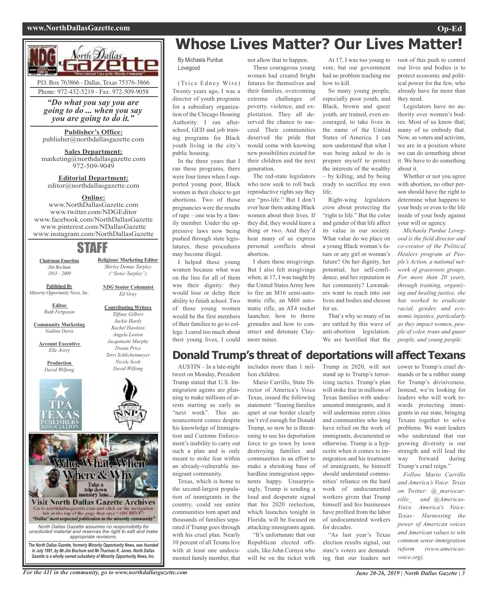### **www.NorthDallasGazette.com Op-Ed**



*"Do what you say you are going to do ... when you say you are going to do it."*

**Publisher's Office:** publisher@northdallasgazette.com

**Sales Department:** marketing@northdallasgazette.com 972-509-9049

**Editorial Department:** editor@northdallasgazette.com

### **Online:**

www.NorthDallasGazette.com www.twitter.com/NDGEditor www.facebook.com/NorthDallasGazette www.pinterest.com/NDallasGazette www.instagram.com/NorthDallasGazette

## STAFF

**Chairman Emeritus** *Jim Bochum 1933 – 2009*

**Published By** *Minority Opportunity News, Inc.*

**Editor**

*Ruth Ferguson*

**Community Marketing** *Nadina Davis*

**Account Executive** *Elle Avery*

> **Production** *David Wilfong*



*Jackie Hardy Rachel Hawkins Angela Loston Jacquinette Murphy Dwain Price Terri Schlichenmeyer Nicole Scott David Wilfong*

**Religious/ Marketing Editor** *Shirley Demus Tarpley ("Sister Tarpley")*

*NDG* **Senior Columnist** *Ed Gray*

**Contributing Writers** *Tiffany Gilbert*



(Trice Edney Wire) Twenty years ago, I was a director of youth programs for a subsidiary organization of the Chicago Housing Authority. I ran afterschool, GED and job training programs for Black youth living in the city's public housing. In the three years that I

ran these programs, there were four times when I supported young poor, Black women in their choice to get abortions. Two of those pregnancies were the results of rape – one was by a family member. Under the oppressive laws now being pushed through state legislatures, these procedures may become illegal.

I helped these young women because what was on the line for all of them was their dignity: they would lose or delay their ability to finish school. Two of these young women would be the first members of their families to go to college. I cared too much about their young lives, I could

These courageous young women had created bright futures for themselves and their families, overcoming extreme challenges of poverty, violence, and exploitation. They all deserved the chance to succeed. Their communities deserved the pride that would come with knowing new possibilities existed for their children and the next generation.

The red-state legislators who now seek to roll back reproductive rights say they are "pro-life." But I don't ever hear them asking Black women about their lives. If they did, they would learn a thing or two. And they'd hear many of us express personal conflicts about abortion.

I share these misgivings. But I also felt misgivings when, at 17, I was taught by the United States Army how to fire an M16 semi-automatic rifle, an M60 automatic rifle, an AT4 rocket launcher, how to throw grenades and how to construct and detonate Claymore mines.

At 17, I was too young to vote, but our government had no problem teaching me how to kill.

So many young people, especially poor youth, and Black, brown and queer youth, are trained, even encouraged, to take lives in the name of the United States of America. I can now understand that what I was being asked to do is prepare myself to protect the interests of the wealthy – by killing, and by being ready to sacrifice my own life.

Right-wing legislators crow about protecting the "right to life." But the color and gender of that life affect its value in our society. What value do we place on a young Black woman's future or any girl or woman's future? On her dignity, her potential, her self-confidence, and her reputation in her community? Lawmakers want to reach into our lives and bodies and choose for us.

That's why so many of us are rattled by this wave of anti-abortion legislation. We are horrified that the

root of this push to control our lives and bodies is to protect economic and political power for the few, who already have far more than they need.

Legislators have no authority over women's bodies. Most of us know that; many of us embody that. Now, as voters and activists, we are in a position where we can do something about it. We have to do something about it.

Whether or not you agree with abortion, no other person should have the right to determine what happens to your body or even to the life inside of your body against your will or agency.

*Michaela Purdue Lovegood is the field director and co-creator of the Political Healers program at People's Action, a national network of grassroots groups. For more than 20 years, through training, organizing and healing justice, she has worked to eradicate racial, gender, and economic injustice, particularly as they impact women, people of color, trans and queer people, and young people.*

### **Donald Trump's threat of deportations will affect Texans**

AUSTIN – In a late-night tweet on Monday, President Trump stated that U.S. Immigration agents are planning to make millions of arrests starting as early as "next week". This announcement comes despite his knowledge of Immigration and Customs Enforcement's inability to carry out such a plan and is only meant to stoke fear within an already-vulnerable immigrant community.

Texas, which is home to the second-largest population of immigrants in the country, could see entire communities torn apart and thousands of families separated if Trump goes through with his cruel plan. Nearly 10 percent of all Texans live with at least one undocumented family member, that

includes more than 1 million children.

Mario Carrillo, State Director of America's Voice Texas, issued the following statement: "Tearing families apart at our border clearly isn't evil enough for Donald Trump, so now he is threatening to use his deportation force to go town by town destroying families and communities in an effort to make a shrinking base of hardline immigration opponents happy. Unsurprisingly, Trump is sending a loud and desperate signal that his 2020 reelection, which launches tonight in Florida, will be focused on attacking immigrants again.

"It's unfortunate that our Republican elected officials, like John Cornyn who will be on the ticket with Trump in 2020, will not stand up to Trump's terrorizing tactics. Trump's plan will stoke fear in millions of Texas families with undocumented immigrants, and it will undermine entire cities and communities who long have relied on the work of immigrants, documented or otherwise. Trump is a hypocrite when it comes to immigration and his treatment of immigrants, he himself should understand communities' reliance on the hard work of undocumented workers given that Trump himself and his businesses have profited from the labor of undocumented workers for decades.

"As last year's Texas election results signal, our state's voters are demanding that our leaders not cower to Trump's cruel demands or be a rubber stamp for Trump's divisiveness. Instead, we're looking for leaders who will work towards protecting immigrants in our state, bringing Texans together to solve problems. We want leaders who understand that our growing diversity is our strength and will lead the way forward during Trump's cruel reign."

*Follow Mario Carrillo and America's Voice: Texas on Twitter: @\_mariocarrillo\_ and @Americas-Voice. America's Voice: Texas– Harnessing the power of American voices and American values to win common sense immigration reform (www.americasvoice.org).*

*North Dallas Gazette assumes no responsibility for unsolicited material and reserves the right to edit and make appropriate revisions. The North Dallas Gazette, formerly Minority Opportunity News, was founded in July 1991, by Mr.Jim Bochum and Mr.Thurman R. Jones. North Dallas Gazette is a wholly owned subsidairy of Minority Opportunity News, Inc.*

Go to worth dalloogarette cam and click on the westpation<br>fab at the top of the page that same "ARCHIVE"<br>"Dallay" meet respected publication in the minority community"

Who. What, When

Where & Why

Take a<br>trip down

**Visit North Dallas Gazette Archives**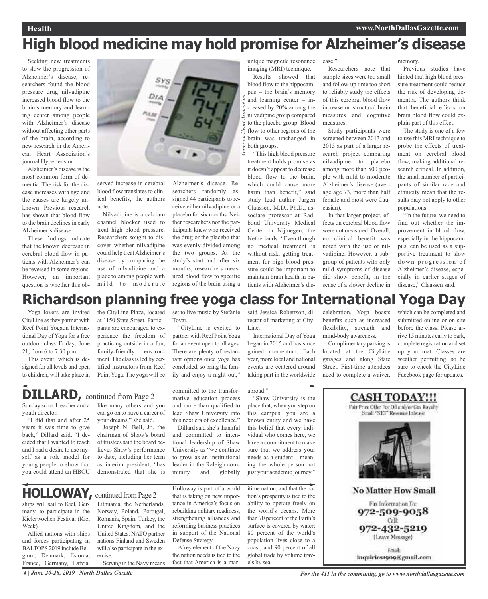# **High blood medicine may hold promise for Alzheimer's disease**

Seeking new treatments to slow the progression of Alzheimer's disease, researchers found the blood pressure drug nilvadipine increased blood flow to the brain's memory and learning center among people with Alzheimer's disease without affecting other parts of the brain, according to new research in the American Heart Association's journal Hypertension.

Alzheimer's disease is the most common form of dementia. The risk for the disease increases with age and the causes are largely unknown. Previous research has shown that blood flow to the brain declines in early Alzheimer's disease.

These findings indicate that the known decrease in cerebral blood flow in patients with Alzheimer's can be reversed in some regions. However, an important question is whether this ob-



served increase in cerebral blood flow translates to clinical benefits, the authors note.

Nilvadipine is a calcium channel blocker used to treat high blood pressure. Researchers sought to discover whether nilvadipine could help treat Alzheimer's disease by comparing the use of nilvadipine and a placebo among people with mild to moderate

Alzheimer's disease. Researchers randomly assigned 44 participants to receive either nilvadipine or a placebo for six months. Neither researchers nor the participants knew who received the drug or the placebo that was evenly divided among the two groups. At the study's start and after six months, researchers measured blood flow to specific regions of the brain using a unique magnetic resonance imaging (MRI) technique.

*merican Heart Association* Results showed that blood flow to the hippocampus – the brain's memory and learning center – increased by 20% among the nilvadipine group compared to the placebo group. Blood flow to other regions of the brain was unchanged in both groups.

"This high blood pressure treatment holds promise as it doesn't appear to decrease blood flow to the brain, which could cause more harm than benefit," said study lead author Jurgen Claassen, M.D., Ph.D., associate professor at Radboud University Medical Center in Nijmegen, the Netherlands. "Even though no medical treatment is without risk, getting treatment for high blood pressure could be important to maintain brain health in patients with Alzheimer's disease."

Researchers note that sample sizes were too small and follow-up time too short to reliably study the effects of this cerebral blood flow increase on structural brain measures and cognitive measures.

Study participants were screened between 2013 and 2015 as part of a larger research project comparing nilvadipine to placebo among more than 500 people with mild to moderate Alzheimer's disease (average age 73, more than half female and most were Caucasian).

In that larger project, effects on cerebral blood flow were not measured. Overall, no clinical benefit was noted with the use of nilvadipine. However, a subgroup of patients with only mild symptoms of disease did show benefit, in the sense of a slower decline in memory.

Previous studies have hinted that high blood pressure treatment could reduce the risk of developing dementia. The authors think that beneficial effects on brain blood flow could explain part of this effect.

The study is one of a few to use this MRI technique to probe the effects of treatment on cerebral blood flow, making additional research critical. In addition, the small number of participants of similar race and ethnicity mean that the results may not apply to other populations.

"In the future, we need to find out whether the improvement in blood flow, especially in the hippocampus, can be used as a supportive treatment to slow down progression of Alzheimer's disease, especially in earlier stages of disease," Claassen said.

# **Richardson planning free yoga class for International Yoga Day**

abroad."

Yoga lovers are invited CityLine asthey partner with Reef Point Yogaon International Day of Yoga for a free outdoor class Friday, June 21, from 6 to 7:30 p.m.

This event, which is designed for all levels and open to children, will take place in the CityLine Plaza, located at 1150 State Street. Participants are encouraged to experience the freedom of practicing outside in a fun, family-friendly environment. The class is led by certified instructors from Reef Point Yoga. The yoga will be set to live music by Stefanie Tovar.

"CityLine is excited to partner with Reef Point Yoga for an event open to all ages. There are plenty of restaurant options once yoga has concluded, so bring the family and enjoy a night out,"

committed to the transformative education process and more than qualified to lead Shaw University into

Dillard said she's thankful

to grow as an institutional leader in the Raleigh community and globally said Jessica Robertson, director of marketing at City-Line.

International Day of Yoga began in 2015 and has since gained momentum. Each year, more local and national events are centered around taking part in the worldwide

"Shaw University is the place that, when you step on this campus, you are a known entity and we have this belief that every individual who comes here, we have a commitment to make sure that we address your needs as a student – meaning the whole person not

celebration. Yoga boasts benefits such as increased flexibility, strength and mind-body awareness.

Complimentary parking is located at the CityLine garages and along State Street. First-time attendees need to complete a waiver, which can be completed and submitted online or on-site before the class. Please arrive 15 minutes early to park, complete registration and set up your mat. Classes are weather permitting, so be sure to check the CityLine Facebook page for updates.

# **CASH TODAY!!!** Fair Price Offer For Oil and/or Gas Royalty Small "NET" Revenue Interest **No Matter How Small** Fax Information To: 972-509-9058 Call: 972-432-5219 (Leave Message) Fmail: inquiries1909@gmail.com

# **DILLARD,** continued from Page <sup>2</sup>

Sunday school teacher and a youth director.

"I did that and after 25 years it was time to give back," Dillard said. "I decided that I wanted to teach and I had a desire to use myself as a role model for young people to show that you could attend an HBCU

like many others and you can go on to have a career of your dreams," she said.

chairman of Shaw's board of trustees said the board believes Shaw's performance to date, including her term as interim president, "has demonstrated that she is

Joseph N. Bell, Jr., the this next era of excellence." and committed to intentional leadership of Shaw University as "we continue

# **HOLLOWAY, continued from Page 2**

ships will sail to Kiel, Germany, to participate in the Kielerwochen Festival (Kiel Week).

Allied nations with ships and forces participating in BALTOPS 2019 include Belgium, Denmark, Estonia, France, Germany, Latvia,

Lithuania, the Netherlands, Norway, Poland, Portugal, Romania, Spain, Turkey, the United Kingdom, and the United States. NATO partner nations Finland and Sweden will also participate in the exercise. Serving in the Navy means Holloway is part of a world that is taking on new importance in America's focus on rebuilding military readiness, strengthening alliances and reforming business practices in support of the National Defense Strategy.

Akey element of the Navy the nation needs is tied to the fact that America is a marjust your academic journey." itime nation, and that the nation's prosperity is tied to the ability to operate freely on the world's oceans. More than 70 percent of the Earth's surface is covered by water; 80 percent of the world's population lives close to a coast; and 90 percent of all global trade by volume trav-

els by sea.

4 June 20-26, 2019 | North Dallas Gazette **State** For the 411 in the community, go to www.northdallasgazette.com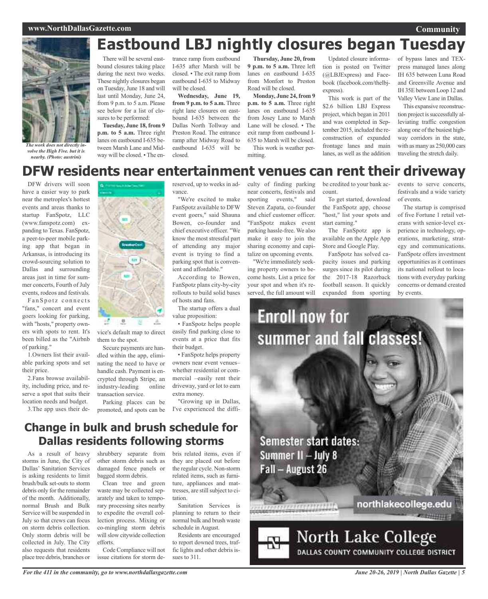### **www.NorthDallasGazette.com**



*The work does not directly involve the High Five. but it is nearby. (Photo: austrini)*

# **Eastbound LBJ nightly closures began Tuesday**

There will be several eastbound closures taking place during the next two weeks. These nightly closures began on Tuesday, June 18 and will last until Monday, June 24, from 9 p.m. to 5 a.m. Please see below for a list of closures to be performed:

**Tuesday, June 18, from 9 p.m. to 5 a.m.** Three right lanes on eastbound I-635 between Marsh Lane and Midway will be closed. • The en-

trance ramp from eastbound I-635 after Marsh will be closed. • The exit ramp from eastbound I-635 to Midway will be closed.

**Wednesday, June 19, from 9 p.m. to 5 a.m.** Three right lane closures on eastbound I-635 between the Dallas North Tollway and Preston Road. The entrance ramp after Midway Road to eastbound I-635 will be closed.

reserved, up to weeks in ad-

**Thursday, June 20, from 9 p.m. to 5 a.m.** Three left lanes on eastbound I-635 from Monfort to Preston Road will be closed.

**Monday, June 24, from 9 p.m. to 5 a.m.** Three right lanes on eastbound I-635 from Josey Lane to Marsh Lane will be closed. • The exit ramp from eastbound I-635 to Marsh will be closed. This work is weather permitting.

Updated closure information is posted on Twitter (@LBJExpress) and Facebook (facebook.com/thelbjexpress).

This work is part of the \$2.6 billion LBJ Express project, which began in 2011 and was completed in September 2015, included the reconstruction of expanded frontage lanes and main lanes, as well as the addition of bypass lanes and TEXpress managed lanes along IH 635 between Luna Road and Greenville Avenue and IH 35E between Loop 12 and Valley View Lane in Dallas.

This expansive reconstruction project is successfully alleviating traffic congestion along one of the busiest highway corridors in the state, with as many as 250,000 cars traveling the stretch daily.

# **DFW residents near entertainment venues can rent their driveway**

DFW drivers will soon have a easier way to park near the metroplex's hottest events and areas thanks to startup FanSpotz, LLC (www.fanspotz.com) expanding to Texas. FanSpotz, a peer-to-peer mobile parking app that began in Arkansas, is introducing its crowd-sourcing solution to Dallas and surrounding areas just in time for summer concerts, Fourth of July events, rodeos and festivals.

Fan Spotz connects "fans," concert and event goers looking for parking, with "hosts," property owners with spots to rent. It's been billed as the "Airbnb of parking."

1.Owners list their available parking spots and set their price.

2.Fans browse availability, including price, and reserve a spot that suits their location needs and budget.

3.The app uses their de-

vance. "We're excited to make FanSpotz available to DFW event goers," said Shauna Bowen, co-founder and chief executive officer. "We

know the most stressful part of attending any major event is trying to find a parking spot that is convenient and affordable."

According to Bowen, FanSpotz plans city-by-city rollouts to build solid bases of hosts and fans.

The startup offers a dual value proposition:

• FanSpotz helps people easily find parking close to events at a price that fits their budget.

• FanSpotz helps property owners near event venues– whether residential or commercial –easily rent their driveway, yard or lot to earn extra money.

promoted, and spots can be I've experienced the diffi-"Growing up in Dallas,

**Change in bulk and brush schedule for Dallas residents following storms**

Parking places can be

vice's default map to direct

A.

Secure payments are handled within the app, eliminating the need to have or handle cash. Payment is encrypted through Stripe, an industry-leading online

them to the spot.

**C** 

transaction service.

As a result of heavy storms in June, the City of Dallas' Sanitation Services is asking residents to limit brush/bulk set-outs to storm debris only for the remainder of the month. Additionally, normal Brush and Bulk Service will be suspended in July so that crews can focus on storm debris collection. Only storm debris will be collected in July. The City also requests that residents place tree debris, branches or shrubbery separate from other storm debris such as damaged fence panels or bagged storm debris.

Clean tree and green waste may be collected separately and taken to temporary processing sites nearby to expedite the overall collection process. Mixing or co-mingling storm debris will slow citywide collection efforts.

Code Compliance will not issue citations for storm debris related items, even if they are placed out before the regular cycle. Non-storm related items, such as furniture, appliances and mattresses, are still subject to citation.

Sanitation Services is planning to return to their normal bulk and brush waste schedule in August.

Residents are encouraged to report downed trees, traffic lights and other debris issues to 311.

culty of finding parking near concerts, festivals and sporting events," said Steven Zapata, co-founder and chief customer officer. "FanSpotz makes event parking hassle-free. We also make it easy to join the sharing economy and capitalize on upcoming events.

"We're immediately seeking property owners to become hosts. List a price for your spot and when it's reserved, the full amount will

be credited to your bank account.

To get started, download the FanSpotz app, choose "host," list your spots and start earning."

The FanSpotz app is available on the Apple App Store and Google Play.

FanSpotz has solved capacity issues and parking surges since its pilot during the 2017-18 Razorback football season. It quickly expanded from sporting events to serve concerts, festivals and a wide variety of events.

The startup is comprised of five Fortune 1 retail veterans with senior-level experience in technology, operations, marketing, strategy and communications. FanSpotz offers investment opportunities as it continues its national rollout to locations with everyday parking concerns or demand created by events.



*For the 411 in the community, go to www.northdallasgazette.com*

*June 20-26, 2019 | North Dallas Gazette | 5*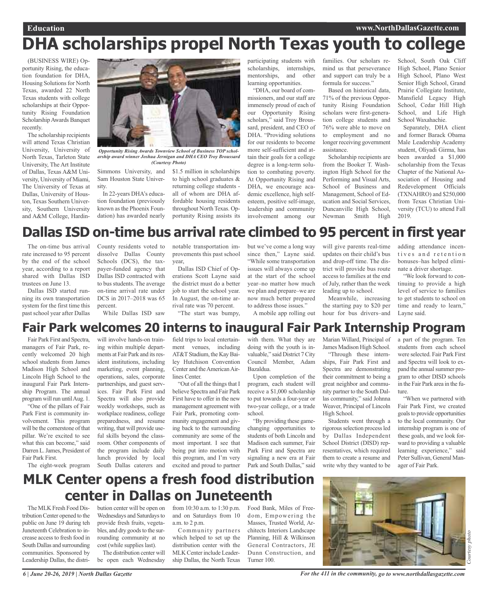## **Education www.NorthDallasGazette.com DHA scholarships propel North Texas youth to college**

(BUSINESS WIRE) Opportunity Rising, the education foundation for DHA, Housing Solutions for North Texas, awarded 22 North Texas students with college scholarships at their Opportunity Rising Foundation ScholarshipAwards Banquet recently.

The scholarship recipients will attend Texas Christian University, University of North Texas, Tarleton State University, The Art Institute of Dallas, Texas A&M University, University of Miami, The University of Texas at Dallas, University of Houston, Texas Southern University, Southern University and A&M College, Hardin-



*Opportunity Rising Awards Townview School of Business TOP scholarship award winner Joshua Jernigan and DHA CEO Troy Broussard (Courtesy Photo)*

Simmons University, and Sam Houston State University.

In 22-years DHA's education foundation (previously known asthe Phoenix Foundation) has awarded nearly

\$1.5 million in scholarships to high school graduates & returning college students all of whom are DHA affordable housing residents throughout North Texas. Opportunity Rising assists its participating students with scholarships, internships, mentorships, and other learning opportunities.

"DHA, our board of commissioners, and our staff are immensely proud of each of our Opportunity Rising scholars," said Troy Broussard, president, and CEO of DHA. "Providing solutions for our residents to become more self-sufficient and attain their goals for a college degree is a long-term solution to combating poverty. At Opportunity Rising and DHA, we encourage academic excellence, high selfesteem, positive self-image, leadership and community involvement among our

families. Our scholars remind us that perseverance and support can truly be a formula for success."

Based on historical data, 71% of the previous Opportunity Rising Foundation scholars were first-generation college students and 76% were able to move on to employment and no longer receiving government assistance.

Scholarship recipients are from the Booker T. Washington High School for the Performing and Visual Arts, School of Business and Management, School of Education and Social Services, Duncanville High School, Newman Smith High

School, South Oak Cliff High School, Plano Senior High School, Plano West Senior High School, Grand Prairie Collegiate Institute, Mansfield Legacy High School, Cedar Hill High School, and Life High School Waxahachie.

Separately, DHA client and former Barack Obama Male Leadership Academy student, Oliyadi Girma, has been awarded a \$1,000 scholarship from the Texas Chapter of the National Association of Housing and Redevelopment Officials (TXNAHRO) and \$250,000 from Texas Christian University (TCU) to attend Fall 2019.

# **Dallas ISD on-time bus arrival rate climbed to 95 percent in first year**

The on-time bus arrival rate increased to 95 percent by the end of the school year, according to a report shared with Dallas ISD trustees on June 13.

Dallas ISD started running its own transportation system for the first time this past school year after Dallas

County residents voted to dissolve Dallas County Schools (DCS), the taxpayer-funded agency that Dallas ISD contracted with to bus students. The average on-time arrival rate under DCS in 2017–2018 was 65 percent.

While Dallas ISD saw

notable transportation improvements this past school year,

Dallas ISD Chief of Operations Scott Layne said the district must do a better job to start the school year. In August, the on-time arrival rate was 70 percent. "The start was bumpy,

but we've come a long way since then," Layne said. "While some transportation issues will always come up at the start of the school year–no matter how much we plan and prepare–we are now much better prepared to address those issues." A mobile app rolling out

will give parents real-time updates on their child's bus and drop-off time. The district will provide bus route access to families at the end of July, rather than the week leading up to school.

Meanwhile, increasing the starting pay to \$20 per hour for bus drivers–and adding attendance incentives and retention bonuses–has helped eliminate a driver shortage.

"We look forward to continuing to provide a high level of service to families to get students to school on time and ready to learn," Layne said.

### **Fair Park welcomes 20 interns to inaugural Fair Park Internship Program**

Fair Park First and Spectra, managers of Fair Park, recently welcomed 20 high school students from James Madison High School and Lincoln High School to the inaugural Fair Park Internship Program. The annual program will run until Aug. 1.

"One of the pillars of Fair Park First is community involvement. This program will be the cornerstone of that pillar. We're excited to see what this can become," said Darren L. James, President of Fair Park First.

The eight-week program

will involve hands-on training within multiple departments at Fair Park and its resident institutions, including marketing, event planning, operations, sales, corporate partnerships, and guest services. Fair Park First and Spectra will also provide weekly workshops, such as workplace readiness, college preparedness, and resume writing, that will provide useful skills beyond the classroom. Other components of the program include daily lunch provided by local South Dallas caterers and

field trips to local entertainment venues, including AT&T Stadium, the Kay Bailey Hutchison Convention Center and the American Airlines Center.

"Out of all the things that I believe Spectra and Fair Park First have to offer in the new management agreement with Fair Park, promoting community engagement and giving back to the surrounding community are some of the most important. I see that being put into motion with this program, and I'm very excited and proud to partner with them. What they are doing with the youth is invaluable," said District 7 City Council Member, Adam Bazaldua.

Upon completion of the program, each student will receive a \$1,000 scholarship to put towards a four-year or two-year college, or a trade school.

"By providing these gamechanging opportunities to students of both Lincoln and Madison each summer, Fair Park First and Spectra are signaling a new era at Fair Park and South Dallas," said

Marian Willard, Principal of James Madison High School.

"Through these internships, Fair Park First and Spectra are demonstrating their commitment to being a great neighbor and community partner to the South Dallas community," said Johnna Weaver, Principal of Lincoln High School.

Students went through a rigorous selection process led by Dallas Independent School District (DISD) representatives, which required them to create a resume and write why they wanted to be

a part of the program. Ten students from each school were selected. Fair Park First and Spectra will look to expand the annual summer program to other DISD schools in the Fair Park area in the future.

"When we partnered with Fair Park First, we created goalsto provide opportunities to the local community. Our internship program is one of these goals, and we look forward to providing a valuable learning experience," said Peter Sullivan, General Manager of Fair Park.

# **MLK Center opens a fresh food distribution center in Dallas on Juneteenth**

The MLK Fresh Food DistributionCenter opened to the public on June 19 during teh Juneteenth Celebration to increase access to fresh food in South Dallas and surrounding communities. Sponsored by Leadership Dallas, the distri-

bution center will be open on Wednesdays and Saturdays to provide fresh fruits, vegetables, and dry goods to the surrounding community at no cost (while supplies last). The distribution center will

be open each Wednesday

from 10:30 a.m. to 1:30 p.m. and on Saturdays from 10 a.m. to 2 p.m.

Community partners which helped to set up the distribution center with the MLK Center include Leadership Dallas, the North Texas

Food Bank, Miles of Freedom, Empowering the Masses, Trusted World, Architects Interiors Landscape Planning, Hill & Wilkinson General Contractors, JE Dunn Construction, and Turner 100.



*For the 411 in the community, go to www.northdallasgazette.com*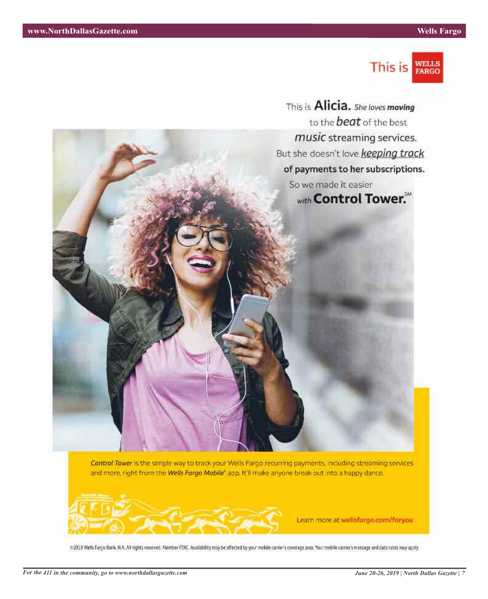

This is **Alicia.** She loves moving to the **beat** of the best music streaming services. But she doesn't love keeping track of payments to her subscriptions. So we made it easier with Control Tower.

Control Tower is the simple way to track your Wells Fargo recurring payments, including streaming services and more, right from the Wells Fargo Mobile" app. It'll make anyone break out into a happy dance.



Learn more at wellsfargo.com/foryou

@2019 Wells Fargo Bank, N.A. All rights reserved. Member FDKC. Availability may be affected by your mobile carrier's coverage area. Your mobile carrier's message and data rates may apply.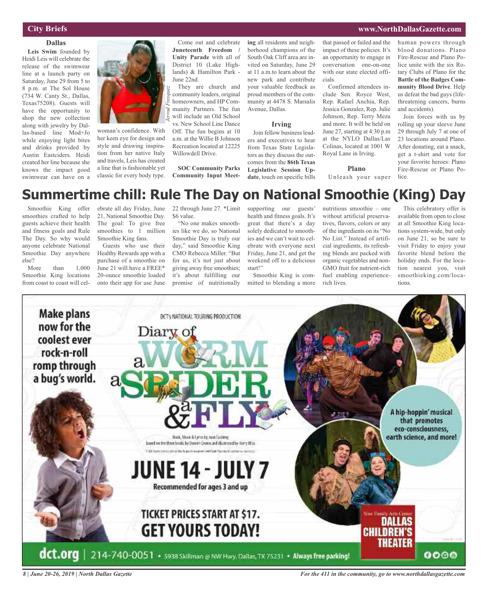### **City Briefs**

### **Dallas**

**Leis Swim** founded by Heidi Leis will celebrate the release of the swimwear line at a launch party on Saturday, June 29 from 5 to 8 p.m. at The Sol House (734 W. Canty St., Dallas, Texas75208). Guests will have the opportunity to shop the new collection along with jewelry by Dallas-based line Mod+Jo while enjoying light bites and drinks provided by Austin Eastciders. Heidi created her line because she knows the impact good swimwear can have on a



woman's confidence. With her keen eye for design and style and drawing inspiration from her native Italy and travels, Leis has created a line that is fashionable yet classic for every body type.

Come out and celebrate **Juneteenth Freedom / Unity Parade** with all of District 10 (Lake Highlands) & Hamilton Park - June 22nd.

They are church and community leaders, original homeowners, and HP Community Partners. The fun will include an Old School vs. New School Line Dance Off. The fun begins at 10 a.m. at the Willie B Johnson Recreation located at 12225 Willowdell Drive.

**SOC Community Parks Community Input Meet-**

**ing** all residents and neighborhood champions of the South Oak Cliff area are invited on Saturday, June 29 at 11 a.m.to learn about the new park and contribute your valuable feedback as proud members of the community at 4478 S. Marsalis Avenue, Dallas.

#### **Irving**

Join fellow business leaders and executives to hear from Texas State Legislators as they discuss the outcomes from the **86th Texas Legislative Session Update**, touch on specific bills

that passed or failed and the impact of these policies. It's an opportunity to engage in conversation one-on-one with our state elected officials.

Confirmed attendees include Sen. Royce West, Rep. Rafael Anchia, Rep. Jessica Gonzalez, Rep. Julie Johnson, Rep. Terry Meza and more. It will be held on June 27, starting at 4:30 p.m at the NYLO Dallas/Las Colinas, located at 1001 W Royal Lane in Irving.

#### **Plano**

Unleash your super

human powers through blood donations. Plano Fire-Rescue and Plano Police unite with the six Rotary Clubs of Plano for the **Battle of the Badges Community Blood Drive**. Help us defeat the bad guys (lifethreatening cancers, burns and accidents).

Join forces with us by rolling up your sleeve June 29 through July 7 at one of 23 locations around Plano. After donating, eat a snack, get a t-shirt and vote for your favorite heroes: Plano Fire-Rescue or Plano Police.

## **Summertime chill: Rule The Day on National Smoothie (King) Day**

Smoothie King offer smoothies crafted to help guests achieve their health and fitness goals and Rule The Day. So why would anyone celebrate National Smoothie Day anywhere else?

More than  $1,000$ Smoothie King locations from coast to coast will celebrate all day Friday, June 21, National Smoothie Day. The goal: To give free smoothies to 1 million Smoothie King fans.

Guests who use their Healthy Rewards app with a purchase of a smoothie on June 21 will have a FREE\* 20-ounce smoothie loaded onto their app for use June

22 through June 27. \*Limit \$6 value.

"No one makes smoothies like we do, so National Smoothie Day is truly our day," said Smoothie King CMO Rebecca Miller. "But for us, it's not just about giving away free smoothies; it's about fulfilling our promise of nutritionally

supporting our guests' health and fitness goals. It's great that there's a day solely dedicated to smoothies and we can't wait to celebrate with everyone next Friday, June 21, and get the weekend off to a delicious start!"

Smoothie King is committed to blending a more nutritious smoothie – one without artificial preservatives, flavors, colors or any of the ingredients on its "No No List." Instead of artificial ingredients, its refreshing blends are packed with organic vegetables and non-GMO fruit for nutrient-rich fuel enabling experiencerich lives.

This celebratory offer is available from open to close at all Smoothie King locations system-wide, but only on June 21, so be sure to visit Friday to enjoy your favorite blend before the holiday ends. For the location nearest you, visit smoothieking.com/locations.



*8 | June 20-26, 2019 | North Dallas Gazette*

*For the 411 in the community, go to www.northdallasgazette.com*

### **www.NorthDallasGazette.com**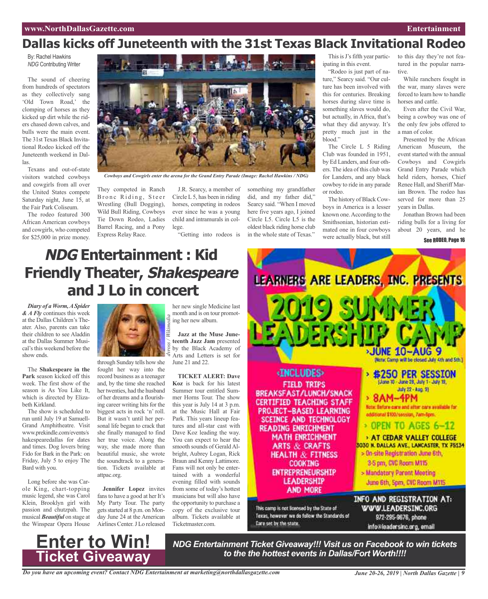# **Dallas kicks off Juneteenth with the 31st Texas Black Invitational Rodeo**

By: Rachel Hawkins *NDG* Contributing Writer

The sound of cheering from hundreds of spectators as they collectively sang 'Old Town Road,' the clomping of horses as they kicked up dirt while the riders chased down calves, and bulls were the main event. The 31st Texas Black Invitational Rodeo kicked off the Juneteenth weekend in Dallas.

Texans and out-of-state visitors watched cowboys and cowgirls from all over the United States compete Saturday night, June 15, at the Fair Park Coliseum.

The rodeo featured 300 African American cowboys and cowgirls, who competed for \$25,000 in prize money.



*Cowboys and Cowgirls enter the arena for the Grand Entry Parade (Image: Rachel Hawkins / NDG)*

They competed in Ranch Bronc Riding, Steer Wrestling (Bull Dogging), Wild Bull Riding, Cowboys Tie Down Rodeo, Ladies Barrel Racing, and a Pony Express Relay Race.

J.R. Searcy, a member of Circle L5, has been in riding horses, competing in rodeos ever since he was a young child and intramurals in college.

"Getting into rodeos is

something my grandfather did, and my father did," Searcy said. "When I moved here five years ago, I joined Circle L5. Circle L5 is the oldest black riding horse club in the whole state of Texas."

This is J's fifth year participating in this event.

"Rodeo is just part of nature," Searcy said. "Our culture has been involved with this for centuries. Breaking horses during slave time is something slaves would do, but actually, in Africa, that's what they did anyway. It's pretty much just in the blood."

The Circle L 5 Riding Club was founded in 1951, by Ed Landers, and four others. The idea of this club was for Landers, and any black cowboy to ride in any parade or rodeo.

The history of Black Cowboys in America is a lesser known one.According to the Smithsonian, historian estimated one in four cowboys were actually black, but still

to this day they're not featured in the popular narrative.

While ranchers fought in the war, many slaves were forced to learn how to handle horses and cattle.

Even after the Civil War, being a cowboy was one of the only few jobs offered to a man of color.

Presented by the African American Museum, the event started with the annual Cowboys and Cowgirls Grand Entry Parade which held riders, horses, Chief Renee Hall, and Sheriff Marian Brown. The rodeo has served for more than 25 years in Dallas.

Jonathan Brown had been riding bulls for a living for about 20 years, and he

#### See RODEO, Page 16

# **NDG Entertainment : Kid Friendly Theater, Shakespeare and J Lo in concert**

*Diary of a Worm,ASpider & A Fly* continues this week at the Dallas Children's Theater. Also, parents can take their children to see Aladdin at the Dallas Summer Musical's this weekend before the show ends.

The **Shakespeare in the Park** season kicked off this week. The first show of the season is As You Like It, which is directed by Elizabeth Kirkland.

The show is scheduled to run until July 19 at Samuell-Grand Amphitheatre. Visit www.prekindle.com/events/s hakespearedallas for dates and times. Dog lovers bring Fido for Bark in the Park: on Friday, July 5 to enjoy The Bard with you.

Long before she was Carole King, chart-topping music legend, she was Carol Klein, Brooklyn girl with passion and chutzpah. The musical *Beautiful* on stage at the Winspear Opera House

**Enter to Win!**



through Sunday tells how she fought her way into the record business as a teenager and, by the time she reached her twenties, had the husband of her dreams and a flourishing career writing hits for the biggest acts in rock 'n' roll. But it wasn't until her personal life began to crack that she finally managed to find her true voice. Along the way, she made more than beautiful music, she wrote the soundtrack to a generation. Tickets available at attpac.org.

**Jennifer Lopez** invites fans to have a good at her It's My Party Tour. The party gets started at 8 p.m. on Monday June 24 at the American Airlines Center.J Lo released

her new single Medicine last month and is on tour promot- $\ddot{\tilde{z}}$  ing her new album.

**Jazz at the Muse Juneteenth Jazz Jam** presented by the Black Academy of Arts and Letters is set for June 21 and 22.

**TICKET ALERT: Dave Koz** is back for his latest Summer tour entitled Summer Horns Tour. The show this year is July 14 at 3 p.m. at the Music Hall at Fair Park. This years lineup features and all-star cast with Dave Koz leading the way. You can expect to hear the smooth sounds of GeraldAlbright, Aubrey Logan, Rick Braun and Kenny Lattimore. Fans will not only be entertained with a wonderful evening filled with sounds from some of today's hottest musicians but will also have the opportunity to purchase a copy of the exclusive tour album. Tickets available at Ticketmaster.com.



*to the the hottest events in Dallas/Fort Worth!!!!*

*Do you have an upcoming event? Contact NDG Entertainment at marketing@northdallasgazette.com* **Ticket Giveaway**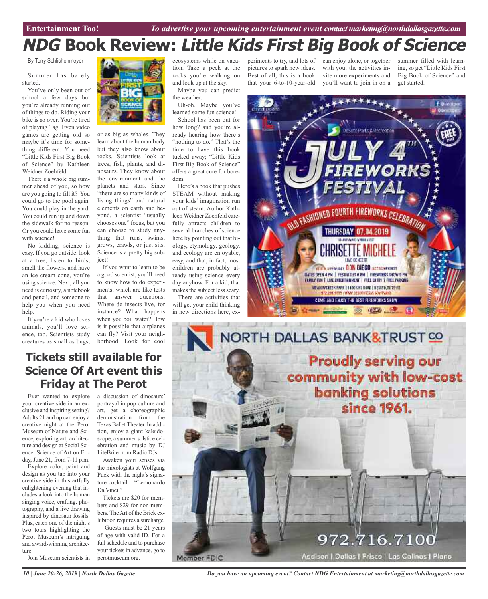# **NDG Book Review: Little Kids First Big Book of Science**

By Terry Schlichenmeyer

Summer has barely started.

You've only been out of school a few days but you're already running out of things to do. Riding your bike is so over. You're tired of playing Tag. Even video games are getting old so maybe it's time for something different. You need "Little Kids First Big Book of Science" by Kathleen Weidner Zoehfeld.

There's a whole big summer ahead of you, so how are you going to fill it? You could go to the pool again. You could play in the yard. You could run up and down the sidewalk for no reason. Or you could have some fun with science!

No kidding, science is easy. If you go outside, look at a tree, listen to birds, smell the flowers, and have an ice cream cone, you're using science. Next, all you need is curiosity, a notebook and pencil, and someone to help you when you need help.

If you're a kid who loves animals, you'll love science, too. Scientists study creatures as small as bugs,



or as big as whales. They learn about the human body but they also know about rocks. Scientists look at trees, fish, plants, and dinosaurs. They know about the environment and the planets and stars. Since "there are so many kinds of living things" and natural elements on earth and beyond, a scientist "usually chooses one" focus, but you can choose to study anything that runs, swims, grows, crawls, or just sits. Science is a pretty big subject!

If you want to learn to be a good scientist, you'll need to know how to do experiments, which are like tests that answer questions. Where do insects live, for instance? What happens when you boil water? How is it possible that airplanes can fly? Visit your neighborhood. Look for cool

ecosystems while on vacation. Take a peek at the rocks you're walking on and look up at the sky.

Maybe you can predict the weather.

Uh-oh. Maybe you've learned some fun science!

School has been out for how long? and you're already hearing how there's "nothing to do." That's the time to have this book tucked away; "Little Kids First Big Book of Science" offers a great cure for boredom.

Here's a book that pushes STEAM without making your kids' imagination run out of steam. Author Kathleen Weidner Zoehfeld carefully attracts children to several branches of science here by pointing out that biology, etymology, geology, and ecology are enjoyable, easy, and that, in fact, most children are probably already using science every day anyhow. For a kid, that makes the subject less scary.

There are activities that will get your child thinking in new directions here, experiments to try, and lots of pictures to spark new ideas. Best of all, this is a book that your 6-to-10-year-old

can enjoy alone, or together with you; the activities invite more experiments and you'll want to join in on a

summer filled with learning, so get "Little Kids First Big Book of Science" and get started.



NORTH DALLAS BANK&TRUST CO **Proudly serving our** community with low-cost **banking solutions** since 1961. 972.716.7100 Addison | Dallas | Frisco | Las Calinas | Plano Member FDIC

### **Tickets still available for Science Of Art event this Friday at The Perot**

Ever wanted to explore your creative side in an exclusive and inspiring setting? Adults 21 and up can enjoy a creative night at the Perot Museum of Nature and Science, exploring art, architecture and design at Social Science: Science of Art on Friday, June 21, from 7-11 p.m.

Explore color, paint and design as you tap into your creative side in this artfully enlightening evening that includes a look into the human singing voice, crafting, photography, and a live drawing inspired by dinosaur fossils. Plus, catch one of the night's two tours highlighting the Perot Museum's intriguing and award-winning architecture.

Join Museum scientists in

a discussion of dinosaurs' portrayal in pop culture and art, get a choreographic demonstration from the Texas Ballet Theater. In addition, enjoy a giant kaleidoscope, a summer solstice celebration and music by DJ LiteBrite from Radio DJs.

Awaken your senses via the mixologists at Wolfgang Puck with the night's signature cocktail – "Lemonardo Da Vinci."

Tickets are \$20 for members and \$29 for non-members. TheArt of the Brick exhibition requires a surcharge.

Guests must be 21 years of age with valid ID. For a full schedule and to purchase your tickets in advance, go to perotmuseum.org.

*Do you have an upcoming event? Contact NDG Entertainment at marketing@northdallasgazette.com*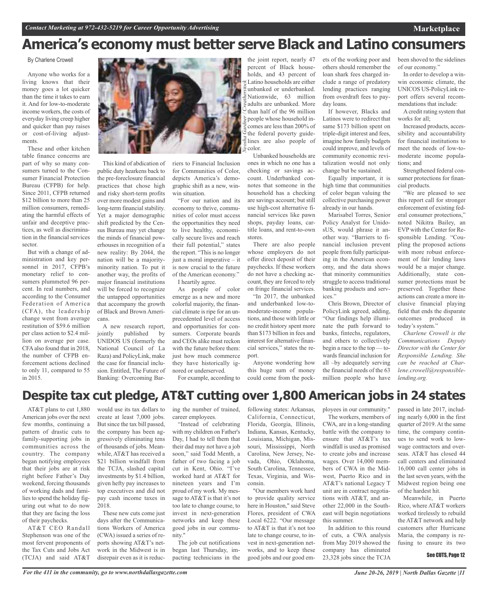# **America's economy must better serve Black and Latino consumers**

By Charlene Crowell

Anyone who works for a living knows that their money goes a lot quicker than the time it takes to earn it. And for low-to-moderate income workers, the costs of everyday living creep higher and quicker than pay raises or cost-of-living adjustments.

These and other kitchen table finance concerns are part of why so many consumers turned to the Consumer Financial Protection Bureau (CFPB) for help. Since 2011, CFPB returned \$12 billion to more than 25 million consumers, remediating the harmful effects of unfair and deceptive practices, as well as discrimination in the financial services sector.

But with a change of administration and key personnel in 2017, CFPB's monetary relief to consumers plummeted 96 percent. In real numbers, and according to the Consumer Federation of America (CFA), the leadership change went from average restitution of \$59.6 million per class action to \$2.4 million on average per case. CFAalso found that in 2018, the number of CFPB enforcement actions declined to only 11, compared to 55 in 2015.



This kind of abdication of public duty hearkens back to the pre-foreclosure financial practices that chose high and risky short-term profits over more modest gains and long-term financial stability. Yet a major demographic shift predicted by the Census Bureau may yet change the minds of financial powerhouses in recognition of a new reality: By 2044, the nation will be a majorityminority nation. To put it another way, the profits of major financial institutions will be forced to recognize the untapped opportunities that accompany the growth of Black and Brown Americans.

A new research report, jointly published by UNIDOS US (formerly the National Council of La Raza) and PolicyLink, make the case for financial inclusion. Entitled, The Future of Banking: Overcoming Barriers to Financial Inclusion for Communities of Color, depicts America's demographic shift as a new, winwin situation.

"For our nation and its economy to thrive, communities of color must access the opportunities they need to live healthy, economically secure lives and reach their full potential," states the report. "This is no longer" just a moral imperative – it is now crucial to the future of the American economy." I heartily agree.

As people of color emerge as a new and more colorful majority, the financial climate is ripe for an unprecedented level of access and opportunities for consumers. Corporate boards and CEOs alike must reckon with the future before them: just how much commerce they have historically ignored or underserved.

For example, according to

the joint report, nearly 47 percent of Black households, and 43 percent of Latino households are either unbanked or underbanked. Nationwide, 63 million adults are unbanked. More than half of the 96 million people whose household incomes are less than 200% of the federal poverty guidelines are also people of color.

Unbanked households are ones in which no one has a checking or savings account. Underbanked connotes that someone in the household has a checking are savings account; but still use high-cost alternative financial services like pawn shops, payday loans, cartitle loans, and rent-to-own stores.

There are also people whose employers do not offer direct deposit of their paychecks. If these workers do not have a checking account, they are forced to rely on fringe financial services.

"In 2017, the unbanked and underbanked low-tomoderate-income populations, and those with little or no credit history spent more than \$173 billion in fees and interest for alternative financial services," states the report.

Anyone wondering how this huge sum of money could come from the pockets of the working poor and others should remember the loan shark fees charged include a range of predatory lending practices ranging from overdraft fees to payday loans.

If however, Blacks and Latinos were to redirect that same \$173 billion spent on triple-digit interest and fees, imagine how family budgets could improve, and levels of community economic revitalization would not only change but be sustained.

Equally important, it is high time that communities of color began valuing the collective purchasing power already in our hands.

Marisabel Torres, Senior Policy Analyst for UnidosUS, would phrase it another way. "Barriers to financial inclusion prevent people from fully participating in the American economy, and the data shows that minority communities struggle to access traditional banking products and services."

Chris Brown, Director of PolicyLink agreed, adding, "Our findings help illuminate the path forward to banks, fintechs, regulators, and others to collectively begin a race to the top — towards financial inclusion for all –by adequately serving the financial needs of the 63 million people who have been shoved to the sidelines of our economy."

In order to develop a winwin economic climate, the UNICOS US-PolicyLink report offers several recommendations that include:

Acredit rating system that works for all;

Increased products, accessibility and accountability for financial institutions to meet the needs of low-tomoderate income populations; and

Strengthened federal consumer protections for financial products.

"We are pleased to see this report call for stronger enforcement of existing federal consumer protections," noted Nikitra Bailey, an EVP with the Center for Responsible Lending. "Coupling the proposed actions with more robust enforcement of fair lending laws would be a major change. Additionally, state consumer protections must be preserved. Together these actions can create a more inclusive financial playing field that ends the disparate outcomes produced in today's system."

*Charlene Crowell is the Communications Deputy Director with the Center for Responsible Lending. She can be reached at Charlene.crowell@responsiblelending.org.*

### **Despite tax cut pledge, AT&T cutting over 1,800 American jobs in 24 states**

AT&T plans to cut 1,880 American jobs over the next few months, continuing a pattern of drastic cuts to family-supporting jobs in communities across the country. The company began notifying employees that their jobs are at risk right before Father's Day weekend, forcing thousands of working dads and families to spend the holiday figuring out what to do now that they are facing the loss of their paychecks.

AT&T CEO Randall Stephenson was one of the most fervent proponents of the Tax Cuts and Jobs Act (TCJA) and said AT&T

would use its tax dollars to create at least 7,000 jobs. But since the tax bill passed, the company has been aggressively eliminating tens of thousands of jobs. Meanwhile, AT&T has received a \$21 billion windfall from the TCJA, slashed capital investments by \$1.4 billion, given hefty pay increases to top executives and did not pay cash income taxes in 2018.

These new cuts come just days after the Communications Workers of America (CWA) issued a series of reports showing AT&T's network in the Midwest is in disrepair even as it is reduc-

ing the number of trained, career employees.

"Instead of celebrating with my children on Father's Day, I had to tell them that their dad may not have a job soon," said Todd Menth, a father of two facing a job cut in Kent, Ohio. "I've worked hard at AT&T for nineteen years and I'm proud of my work. My message to AT&T is that it's not too late to change course, to invest in next-generation networks and keep these good jobs in our community."

The job cut notifications began last Thursday, impacting technicians in the following states: Arkansas, California, Connecticut, Florida, Georgia, Illinois, Indiana, Kansas, Kentucky, Louisiana, Michigan, Missouri, Mississippi, North Carolina, New Jersey, Nevada, Ohio, Oklahoma, South Carolina, Tennessee, Texas, Virginia, and Wisconsin.

"Our members work hard to provide quality service here in Houston," said Steve Flores, president of CWA Local 6222. "Our message to AT&T is that it's not too late to change course, to invest in next-generation networks, and to keep these good jobs and our good em-

The workers, members of CWA, are in a long-standing battle with the company to ensure that AT&T's tax

ployees in our community."

windfall is used as promised to create jobs and increase wages. Over 14,000 members of CWA in the Midwest, Puerto Rico and in AT&T's national Legacy T unit are in contract negotiations with AT&T, and another 22,000 in the Southeast will begin negotiations this summer.

In addition to this round of cuts, a CWA analysis from May 2019 showed the company has eliminated 23,328 jobs since the TCJA

passed in late 2017, including nearly 6,000 in the first quarter of 2019. At the same time, the company continues to send work to lowwage contractors and overseas. AT&T has closed 44 call centers and eliminated 16,000 call center jobs in the last seven years, with the Midwest region being one of the hardest hit.

Meanwhile, in Puerto Rico, where AT&T workers worked tirelessly to rebuild the AT&T network and help customers after Hurricane Maria, the company is refusing to ensure its two

### See CUTS, Page 12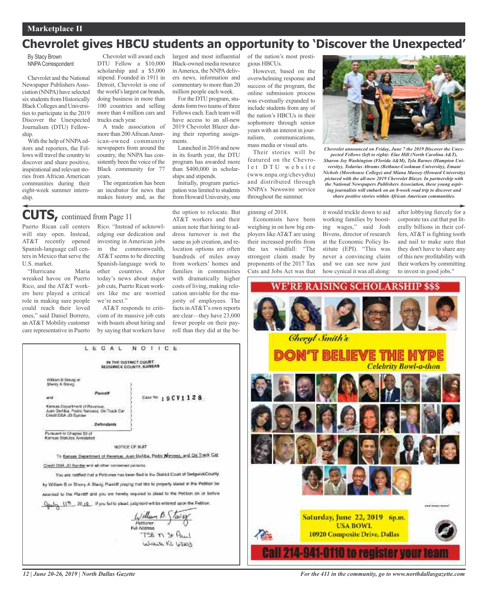### **Marketplace II** *Contact Marketing at 972-432-5219 for Career Opportunity Advertising*

### **Chevrolet gives HBCU students an opportunity to 'Discover the Unexpected'**

By Stacy Brown NNPA Correspondent

Chevrolet and the National Newspaper Publishers Association (NNPA) have selected six students from Historically BlackColleges and Universities to participate in the 2019 Discover the Unexpected Journalism (DTU) Fellowship.

With the help of NNPA editors and reporters, the Fellows will travel the country to discover and share positive, inspirational and relevant stories from African American communities during their eight-week summer internship.

Chevrolet will award each DTU Fellow a \$10,000 scholarship and a \$5,000 stipend. Founded in 1911 in Detroit, Chevrolet is one of the world's largest car brands, doing business in more than 100 countries and selling more than 4 million cars and trucks each year.

A trade association of more than 200 African American-owned community newspapers from around the country, the NNPA has consistently been the voice of the Black community for 77 years.

The organization has been an incubator for news that makes history and, as the

#### Black-owned media resource in America, the NNPA delivers news, information and commentary to more than 20 million people each week. For the DTU program, stu-

dents form two teams of three Fellows each. Each team will have access to an all-new 2019 Chevrolet Blazer during their reporting assignments.

largest and most influential

Launched in 2016 and now in its fourth year, the DTU program has awarded more than \$400,000 in scholarships and stipends.

Initially, program participation waslimited to students from Howard University, one of the nation's most prestigious HBCUs.

However, based on the overwhelming response and success of the program, the online submission process was eventually expanded to include students from any of the nation's HBCUs in their sophomore through senior years with an interest in journalism, communications, mass media or visual arts.

Their stories will be featured on the Chevrolet DTU website (www.nnpa.org/chevydtu) and distributed through NNPA's Newswire service throughout the summer.



*Chevrolet announced on Friday, June 7 the 2019 Discover the Unexpected Fellows (left to right): Elae Hill (North Carolina A&T), Sharon Joy Washington (Florida A&M), Tyla Barnes (Hampton University), Tedarius Abrams (Bethune-Cookman University), Emani Nichols (Morehouse College) and Miana Massey (Howard University) pictured with the all-new 2019 Chevrolet Blazer. In partnership with the National Newspapers Publishers Association, these young aspiring journalists will embark on an 8-week road trip to discover and share positive stories within African American communities.*

### ginning of 2018.

Economists have been weighing in on how big employers likeAT&T are using their increased profits from the tax windfall: "The strongest claim made by proponents of the 2017 Tax Cuts and Jobs Act was that

it would trickle down to aid working families by boosting wages," said Josh Bivens, director of research at the Economic Policy Institute (EPI). "This was never a convincing claim and we can see now just how cynical it was all along:

after lobbying fiercely for a corporate tax cut that put literally billions in their coffers, AT&T is fighting tooth and nail to make sure that they don't have to share any of this new profitability with their workers by committing to invest in good jobs."



Puerto Rican call centers will stay open. Instead, AT&T recently opened Spanish-language call centers in Mexico that serve the U.S. market. **CUTS,** continued from Page <sup>11</sup>

"Hurricane Maria wreaked havoc on Puerto Rico, and the AT&T workers here played a critical role in making sure people could reach their loved ones," said Daniel Borrero, anAT&T Mobility customer care representative in Puerto

> William B Stavig of Sherry A Strug

Punsuant to Chapter 80 of Karisas Statutos Annotated

Kansas Department of Revenue.<br>Juan DeAlba, Padro Naryaoz, On Track Car<br>Credit DBA JD Byrider

Rico. "Instead of acknowledging our dedication and investing in American jobs in the commonwealth, AT&T seems to be directing Spanish-language work to other countries. After today's news about major job cuts, Puerto Rican workers like me are worried we're next."

AT&T responds to criticism of its massive job cuts with boasts about hiring and by saying that workers have

IN THE DISTRICT COURT<br>SEDGWICK COUNTY, KANSAS

NOTICE OF SUIT

0 12 12 20 19 . If you fields plead, judgment will be entered upon the Petiton

LEGAL

Defendants

Credit DBA JD Syridar and all other concerned parades.

NOTICE

Case Nn 19CV1128

William B. \Tavis

 $158 \pi S$ Wickets VS 67207

Pettioner

the option to relocate. But AT&T workers and their union note that hiring to address turnover is not the same as job creation, and relocation options are often hundreds of miles away from workers' homes and families in communities with dramatically higher costs of living, making relocation unviable for the majority of employees. The facts inAT&T's own reports are clear—they have 23,000 fewer people on their payroll than they did at the be-

IU IO FRANSTRE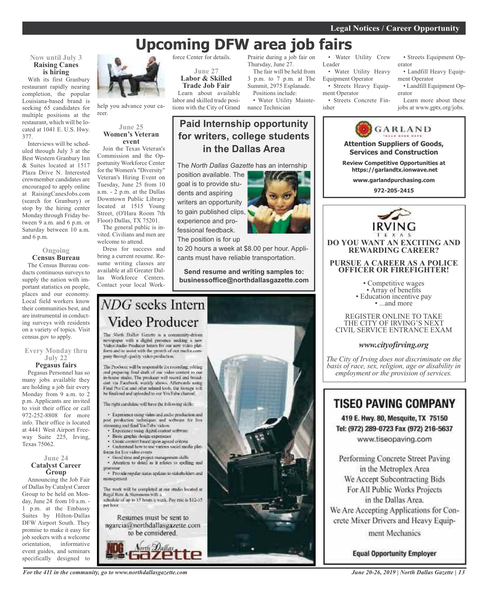# **Upcoming DFW area job fairs**

### **Now until July 3 Raising Canes is hiring**

With its first Granbury restaurant rapidly nearing completion, the popular Louisiana-based brand is seeking 65 candidates for multiple positions at the restaurant, which will be located at 1041 E. U.S. Hwy. 377.

Interviews will be scheduled through July 3 at the Best Western Granbury Inn & Suites located at 1517 Plaza Drive N. Interested crewmember candidates are encouraged to apply online at RaisingCanesJobs.com (search for Granbury) or stop by the hiring center Monday through Friday between 9 a.m. and 6 p.m. or Saturday between 10 a.m. and 6 p.m.

#### **Ongoing Census Bureau**

The Census Bureau conducts continuous surveys to supply the nation with important statistics on people, places and our economy. Local field workers know their communities best, and are instrumental in conducting surveys with residents on a variety of topics. Visit census.gov to apply.

### **Every Monday thru July 22 Pegasus fairs**

Pegasus Personnel has so many jobs available they are holding a job fair every Monday from 9 a.m. to 2 p.m. Applicants are invited to visit their office or call 972-252-8808 for more info. Their office is located at 4441 West Airport Freeway Suite 225, Irving, Texas 75062.

### **June 24 Catalyst Career Group**

Announcing the Job Fair of Dallas by Catalyst Career Group to be held on Monday, June 24 from 10 a.m. - 1 p.m. at the Embassy Suites by Hilton-Dallas DFW Airport South. They promise to make it easy for job seekers with a welcome orientation, informative event guides, and seminars specifically designed to



help you advance your career.

### **June 25 Women's Veteran event**

Join the Texas Veteran's Commission and the Opportunity Workforce Center for the Women's "Diversity" Veteran's Hiring Event on Tuesday, June 25 from 10 a.m. - 2 p.m. at the Dallas Downtown Public Library located at 1515 Young Street, (O'Hara Room 7th Floor) Dallas, TX 75201.

The general public is invited. Civilians and men are welcome to attend.

Dress for success and bring a current resume. Resume writing classes are available at all Greater Dallas Workforce Centers. Contact your local Workforce Center for details.

**June 27 Labor & Skilled Trade Job Fair**

Learn about available labor and skilled trade positions with the City of Grand

Prairie during a job fair on Thursday, June 27.

The fair will be held from 3 p.m. to 7 p.m. at The Summit, 2975 Esplanade. Positions include:

• Water Utility Maintenance Technician

### **Paid Internship opportunity for writers, college students in the Dallas Area**

The *North Dallas Gazette* has an internship

position available. The goal is to provide students and aspiring writers an opportunity to gain published clips, experience and professional feedback. The position is for up

to 20 hours a week at \$8.00 per hour. Applicants must have reliable transportation.

**Send resume and writing samples to: businessoffice@northdallasgazette.com**

# NDG seeks Intern Video Producer

The North Dallas Gazette is a community-driven newspaper with a digital presence socking a new<br>Video/Audio Producer latins for our new video platform and in assist with the growth of our media company through quality video production."

The Producer will be responsible for recording, editing and preparing final diult of our video content in our<br>in-house stadio. The producer will record and broadciat sta Facchiols worldy shows. Afterwards using Final Pro Cut and other related tools, the hostage will he finalized and uploaded to our YouTube channel.

The radii cardidate will have the following skills;

· Experience using video and malio production and post production techniques and software for live streaming and find YouTube videos.

- Experience using digital content settware
- Basic graphic design expensesce
- Unite content hased upon agreed criteria . Understand how to use various social media plat-
- finges for live video events. · froad time and project management shills
- · Attention to detail as it relates to spelling and

· Provide regular states updates to stakeholders and minagement

The work will be completed at our studio located at Regal Row & Stemmons with a<br>schedule of up to 15 hours a week. Pay rate is \$12-15 per hoor.

Resumes must be sent to ngarcia@northdallasgazette.com



*For the 411 in the community, go to www.northdallasgazette.com*



• Water Utility Crew Leader

• Water Utility Heavy Equipment Operator • Streets Heavy Equip-

ment Operator • Streets Concrete Fin-

isher

• Streets Equipment Operator

• Landfill Heavy Equipment Operator

• Landfill Equipment Operator

Learn more about these jobs at www.gptx.org/jobs.



REGISTER ONLINE TO TAKE THE CITY OF IRVING'S NEXT CIVIL SERVICE ENTRANCE EXAM

### *www.cityofirving.org*

*The City of Irving does not discriminate on the basis of race, sex, religion, age or disability in employment or the provision of services.*

### **TISEO PAVING COMPANY**

419 E. Hwy. 80, Mesquite, TX 75150 Tel: (972) 289-0723 Fax (972) 216-5637 www.tiseopaving.com

Performing Concrete Street Paving in the Metroplex Area We Accept Subcontracting Bids For All Public Works Projects in the Dallas Area. We Are Accepting Applications for Concrete Mixer Drivers and Heavy Equipment Mechanics

**Equal Opportunity Employer** 

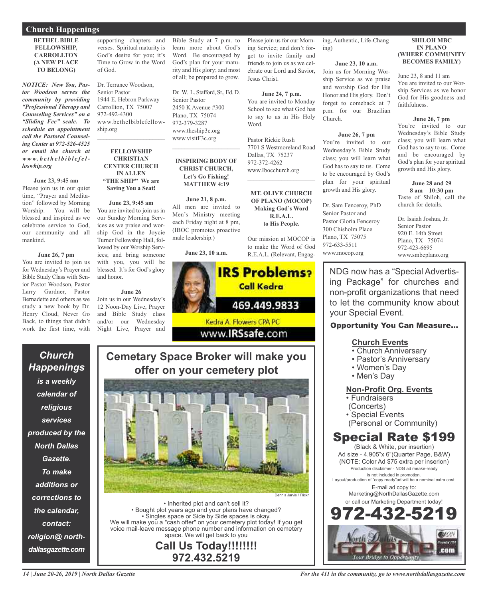### **Church Happenings**

### **BETHEL BIBLE FELLOWSHIP, CARROLLTON (A NEW PLACE TO BELONG)**

*NOTICE: New You, Pastor Woodson serves the community by providing "Professional Therapy and Counseling Services" on a "Sliding Fee" scale. To schedule an appointment call the Pastoral Counseling Center at 972-526-4525 or email the church at www. b e t h e l b i b l e f e lloswhip.org*

### **June 23, 9:45 am**

Please join us in our quiet time, "Prayer and Meditation" followed by Morning Worship. You will be blessed and inspired as we celebrate service to God, our community and all mankind.

### **June 26, 7 pm**

You are invited to join us for Wednesday's Prayer and Bible Study Class with Senior Pastor Woodson, Pastor Larry Gardner, Pastor Bernadette and others as we study a new book by Dr. Henry Cloud, Never Go Back, to things that didn't work the first time, with

*Church*

*Happenings*

*is a weekly*

*calendar of*

*religious*

*services*

*produced by the*

*North Dallas*

*Gazette.*

*To make*

*additions or*

*corrections to*

*the calendar,*

*contact:*

*religion@ north-*

*dallasgazette.com*

supporting chapters and verses. Spiritual maturity is God's desire for you; it's Time to Grow in the Word of God.

Dr. Terrance Woodson, Senior Pastor 1944 E. Hebron Parkway Carrollton, TX 75007 972-492-4300 www.bethelbiblefellowship.org  $\mathcal{L}_\text{max}$  , which is a set of the set of the set of the set of the set of the set of the set of the set of the set of the set of the set of the set of the set of the set of the set of the set of the set of the set of

### **FELLOWSHIP CHRISTIAN CENTER CHURCH IN ALLEN "THE SHIP" We are Saving You a Seat!**

**June 23, 9:45 am** You are invited to join us in our Sunday Morning Services as we praise and worship God in the Joycie Turner Fellowship Hall, followed by our Worship Services; and bring someone with you, you will be blessed. It's for God's glory and honor.

### **June 26** Join us in our Wednesday's 12 Noon-Day Live, Prayer and Bible Study class and/or our Wednesday Night Live, Prayer and

Bible Study at 7 p.m. to learn more about God's Word. Be encouraged by God's plan for your maturity and His glory; and most of all; be prepared to grow.

Dr. W. L. Stafford, Sr., Ed. D. Senior Pastor 2450 K Avenue #300 Plano, TX 75074 972-379-3287 www.theship3c.org www.visitF3c.org

### **INSPIRING BODY OF CHRIST CHURCH, Let's Go Fishing! MATTHEW 4:19**

 $\overline{\phantom{a}}$  , and the set of the set of the set of the set of the set of the set of the set of the set of the set of the set of the set of the set of the set of the set of the set of the set of the set of the set of the s

**June 21, 8 p.m.** All men are invited to Men's Ministry meeting each Friday night at 8 pm, (IBOC promotes proactive male leadership.)

**June 23, 10 a.m.**



**Cemetary Space Broker will make you offer on your cemetery plot**



• Inherited plot and can't sell it? • Bought plot years ago and your plans have changed? • Singles space or Side by Side spaces is okay. We will make you a "cash offer" on your cemetery plot today! If you get voice mail-leave message phone number and information on cemetery space. We will get back to you

**Call Us Today!!!!!!!! 972.432.5219**

ing, Authentic, Life-Chang ing)

Please join us for our Morning Service; and don't forget to invite family and friends to join us as we celebrate our Lord and Savior,

**June 24, 7 p.m.** You are invited to Monday School to see what God has to say to us in His Holy

7701 S Westmoreland Road

**MT. OLIVE CHURCH OF PLANO (MOCOP) Making God's Word R.E.A.L. to His People.**

Our mission at MOCOP is to make the Word of God

Jesus Christ.

Word.

Pastor Rickie Rush

Dallas, TX 75237 972-372-4262 www.Ibocchurch.org  $\mathcal{L}$  , and the set of the set of the set of the set of the set of the set of the set of the set of the set of the set of the set of the set of the set of the set of the set of the set of the set of the set of the set

### **June 23, 10 a.m.**

Join us for Morning Worship Service as we praise and worship God for His Honor and His glory. Don't forget to comeback at 7 p.m. for our Brazilian Church.

### **June 26, 7 pm**

You're invited to our Wednesday's Bible Study class; you will learn what God has to say to us. Come to be encouraged by God's plan for your spiritual growth and His glory.

Dr. Sam Fenceroy, PhD Senior Pastor and Pastor Gloria Fenceroy 300 Chisholm Place Plano, TX 75075 972-633-5511 www.mocop.org

**SHILOH MBC IN PLANO (WHERE COMMUNITY BECOMES FAMILY)**

June 23, 8 and 11 am You are invited to our Worship Services as we honor God for His goodness and faithfulness.

#### **June 26, 7 pm**

You're invited to our Wednesday's Bible Study class; you will learn what God has to say to us. Come and be encouraged by God's plan for your spiritual growth and His glory.

**June 28 and 29 8 am – 10:30 pm** Taste of Shiloh, call the church for details.

Dr. Isaiah Joshua, Jr. Senior Pastor 920 E. 14th Street Plano, TX 75074 972-423-6695 www.smbcplano.org

NDG now has a "Special Advertising Package" for churches and non-profit organizations that need to let the community know about your Special Event.

### Opportunity You Can Measure...

### **Church Events**

- Church Anniversary
- Pastor's Anniversary
- Women's Day
- Men's Day

### **Non-Profit Org. Events**

• Fundraisers

- (Concerts)
- Special Events
- (Personal or Community)

# Special Rate \$199

(Black & White, per insertion) Ad size - 4.905"x 6"(Quarter Page, B&W) (NOTE: Color Ad \$75 extra per inserion) Production disclaimer - NDG ad meake-ready is not included in promotion. Layout/production of "copy ready"ad will be a nominal extra cost. E-mail ad copy to: Marketing@NorthDallasGazette.com or call our Marketing Department today! 972-432-5219

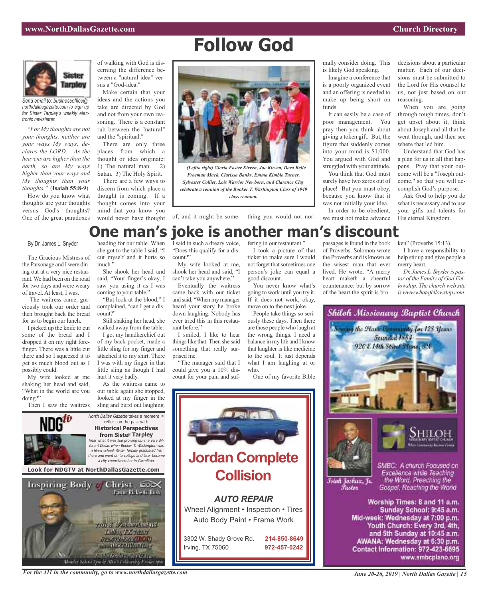# **Follow God**



*Send email to: businessoffice@ northdallasgazette.com to sign up for Sister Tarpley's weekly electronic newsletter.*

*"For My thoughts are not your thoughts, neither are your ways My ways, declares the LORD. As the heavens are higher than the earth, so are My ways higher than your ways and My thoughts than your thoughts."* (**Isaiah 55:8-9**).

How do you know what thoughts are your thoughts versus God's thoughts? One of the great paradoxes

rant.We had been on the road for two days and were weary of travel. At least, I was. The waitress came, graciously took our order and then brought back the bread for us to begin our lunch. I picked up the knife to cut some of the bread and I dropped it on my right forefinger. There was a little cut there and so I squeezed it to get as much blood out as I

possibly could.

doing?"

My wife looked at me shaking her head and said, "What in the world are you of walking with God is discerning the difference between a "natural idea" versus a "God-idea."

Make certain that your ideas and the actions you take are directed by God and not from your own reasoning. There is a constant rub between the "natural" and the "spiritual."

There are only three places from which a thought or idea originate: 1) The natural man. 2) Satan. 3) The Holy Spirit.

There are a few ways to discern from which place a thought is coming. If a thought comes into your mind that you know you would never have thought of, and it might be some- thing you would not nor-



*(Leftto right) Gloria Foster Kirven, Joe Kirven, Dora Belle Freeman Mack, Clarissa Banks, Emma Kimble Turner, Sylvester Collier, Lois Warrior Newborn, and Clarence Clay celebrate a reunion of the Booker T. Washington Class of 1949 class reunion.*

mally consider doing. This is likely God speaking.

Imagine a conference that is a poorly organized event and an offering is needed to make up being short on funds.

It can easily be a case of poor management. You pray then you think about giving a token gift. But, the figure that suddenly comes into your mind is \$1,000. You argued with God and struggled with your attitude.

You think that God must surely have two zeros out of place! But you must obey, because you know that it was not initially your idea.

In order to be obedient, we must not make advance decisions about a particular matter. Each of our decisions must be submitted to the Lord for His counsel to us, not just based on our reasoning.

When you are going through tough times, don't get upset about it, think about Joseph and all that he went through, and then see where that led him.

Understand that God has a plan for us in all that happens. Pray that your outcome will be a "Joseph outcome," so that you will accomplish God's purpose.

Ask God to help you do what is necessary and to use your gifts and talents for His eternal Kingdom.

#### By Dr. James L. Snyder heading for our table. When I said in such a dreary voice, fering in our restaurant." **One man's joke is another man's discount**

The Gracious Mistress of the Parsonage and I were dining out at a very nice restaushe got to the table I said, "I cut myself and it hurts so much."

She shook her head and said, "Your finger's okay, I saw you using it as I was coming to your table."

"But look at the blood," I complained, "can I get a discount?"

Still shaking her head, she walked away from the table.

I got my handkerchief out of my back pocket, made a little sling for my finger and attached it to my shirt. There I was with my finger in that little sling as though I had hurt it very badly.

As the waitress came to our table again she stopped, looked at my finger in the sling and burst out laughing.



"Does this qualify for a discount?"

My wife looked at me, shook her head and said, "I can't take you anywhere."

Eventually the waitress came back with our ticket and said, "When my manager heard your story he broke down laughing. Nobody has ever tried this in this restaurant before."

I smiled; I like to hear things like that. Then she said something that really surprised me. "The manager said that I

could give you a 10% discount for your pain and suf-

I took a picture of that ticket to make sure I would not forget that sometimes one person's joke can equal a good discount.

You never know what's going to work until you try it. If it does not work, okay, move on to the next joke.

People take things so seriously these days. Then there are those people who laugh at the wrong things. I need a balance in my life and I know that laughter is like medicine to the soul. It just depends what I am laughing at or who.

One of my favorite Bible



passages is found in the book of Proverbs. Solomon wrote the Proverbs and is known as the wisest man that ever lived. He wrote, "A merry heart maketh a cheerful countenance: but by sorrow of the heart the spirit is bro-

ken" (Proverbs 15:13).

I have a responsibility to help stir up and give people a merry heart.

*Dr. James L. Snyderis pastor of the Family of God Fellowship. The church web site iswww.whatafellowship.com.*



*For the 411 in the community, go to www.northdallasgazette.com*

.<br>Monder Schult For & Mer Carlinghy Eridor

**Lullas TX 75297**<br>072.679.1262(ILOC)

**STATISTICS** 

www.smbcplano.org

Contact Information: 972-423-6695